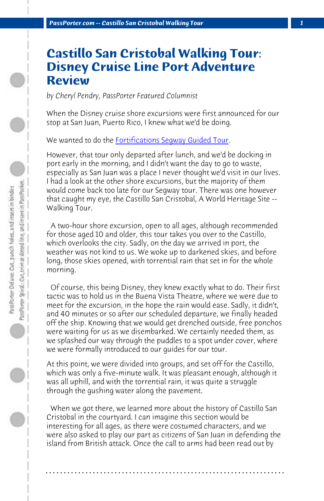*PassPorter.com -- Castillo San Cristobal Walking Tour 1*

## **Castillo San Cristobal Walking Tour: Disney Cruise Line Port Adventure Review**

*by Cheryl Pendry, PassPorter Featured Columnist*

When the Disney cruise shore excursions were first announced for our stop at San Juan, Puerto Rico, I knew what we'd be doing.

We wanted to do the Fortifications Segway Guided Tour.

However, that tour only departed after lunch, and we'd be docking in port early in the morning, and I didn't want the day to go to waste, especially as San Juan was a place I never thought we'd visit in our lives. I had a look at the other shore excursions, but the majority of them would come back too late for our Segway tour. There was one however that caught my eye, the Castillo San Cristobal, A World Heritage Site -- Walking Tour.

 A two-hour shore excursion, open to all ages, although recommended for those aged 10 and older, this tour takes you over to the Castillo, which overlooks the city. Sadly, on the day we arrived in port, the weather was not kind to us. We woke up to darkened skies, and before long, those skies opened, with torrential rain that set in for the whole morning.

 Of course, this being Disney, they knew exactly what to do. Their first tactic was to hold us in the Buena Vista Theatre, where we were due to meet for the excursion, in the hope the rain would ease. Sadly, it didn't, and 40 minutes or so after our scheduled departure, we finally headed off the ship. Knowing that we would get drenched outside, free ponchos were waiting for us as we disembarked. We certainly needed them, as we splashed our way through the puddles to a spot under cover, where we were formally introduced to our guides for our tour.

At this point, we were divided into groups, and set off for the Castillo, which was only a five-minute walk. It was pleasant enough, although it was all uphill, and with the torrential rain, it was quite a struggle through the gushing water along the pavement.

 When we got there, we learned more about the history of Castillo San Cristobal in the courtyard. I can imagine this section would be interesting for all ages, as there were costumed characters, and we were also asked to play our part as citizens of San Juan in defending the island from British attack. Once the call to arms had been read out by

**. . . . . . . . . . . . . . . . . . . . . . . . . . . . . . . . . . . . . . . . . . . . . . . . . . . . . . . . . . . . . . . . . .**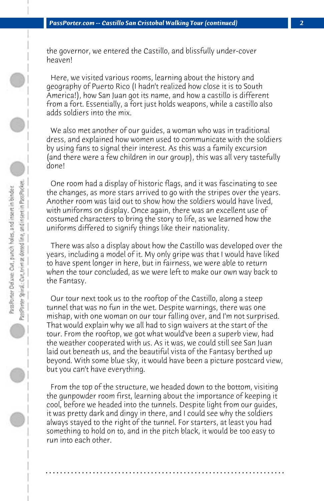the governor, we entered the Castillo, and blissfully under-cover heaven!

 Here, we visited various rooms, learning about the history and geography of Puerto Rico (I hadn't realized how close it is to South America!), how San Juan got its name, and how a castillo is different from a fort. Essentially, a fort just holds weapons, while a castillo also adds soldiers into the mix.

 We also met another of our guides, a woman who was in traditional dress, and explained how women used to communicate with the soldiers by using fans to signal their interest. As this was a family excursion (and there were a few children in our group), this was all very tastefully done!

 One room had a display of historic flags, and it was fascinating to see the changes, as more stars arrived to go with the stripes over the years. Another room was laid out to show how the soldiers would have lived, with uniforms on display. Once again, there was an excellent use of costumed characters to bring the story to life, as we learned how the uniforms differed to signify things like their nationality.

 There was also a display about how the Castillo was developed over the years, including a model of it. My only gripe was that I would have liked to have spent longer in here, but in fairness, we were able to return when the tour concluded, as we were left to make our own way back to the Fantasy.

 Our tour next took us to the rooftop of the Castillo, along a steep tunnel that was no fun in the wet. Despite warnings, there was one mishap, with one woman on our tour falling over, and I'm not surprised. That would explain why we all had to sign waivers at the start of the tour. From the rooftop, we got what would've been a superb view, had the weather cooperated with us. As it was, we could still see San Juan laid out beneath us, and the beautiful vista of the Fantasy berthed up beyond. With some blue sky, it would have been a picture postcard view, but you can't have everything.

 From the top of the structure, we headed down to the bottom, visiting the gunpowder room first, learning about the importance of keeping it cool, before we headed into the tunnels. Despite light from our guides, it was pretty dark and dingy in there, and I could see why the soldiers always stayed to the right of the tunnel. For starters, at least you had something to hold on to, and in the pitch black, it would be too easy to run into each other.

**. . . . . . . . . . . . . . . . . . . . . . . . . . . . . . . . . . . . . . . . . . . . . . . . . . . . . . . . . . . . . . . . . .**